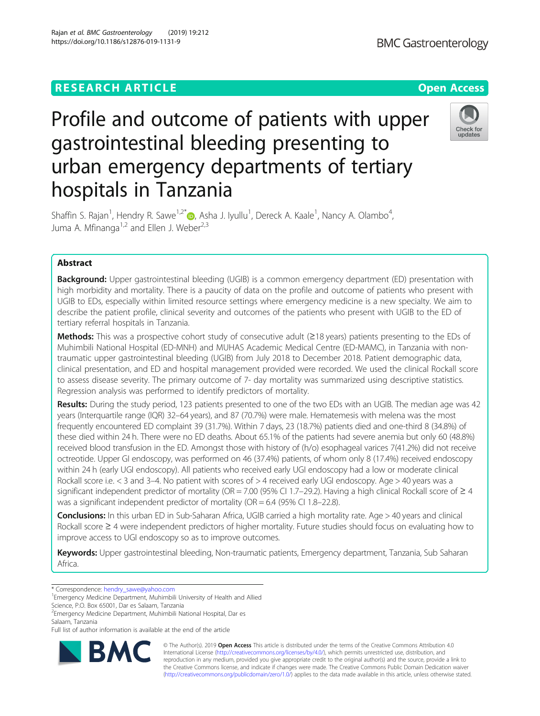**BMC Gastroenterology** 

# Profile and outcome of patients with upper gastrointestinal bleeding presenting to urban emergency departments of tertiary hospitals in Tanzania



Shaffin S. Rajan<sup>1</sup>[,](http://orcid.org/0000-0002-0395-5385) Hendry R. Sawe<sup>1,2\*</sup>®, Asha J. Iyullu<sup>1</sup>, Dereck A. Kaale<sup>1</sup>, Nancy A. Olambo<sup>4</sup> , Juma A. Mfinanga<sup>1,2</sup> and Ellen J. Weber<sup>2,3</sup>

## Abstract

**Background:** Upper gastrointestinal bleeding (UGIB) is a common emergency department (ED) presentation with high morbidity and mortality. There is a paucity of data on the profile and outcome of patients who present with UGIB to EDs, especially within limited resource settings where emergency medicine is a new specialty. We aim to describe the patient profile, clinical severity and outcomes of the patients who present with UGIB to the ED of tertiary referral hospitals in Tanzania.

Methods: This was a prospective cohort study of consecutive adult (≥18 years) patients presenting to the EDs of Muhimbili National Hospital (ED-MNH) and MUHAS Academic Medical Centre (ED-MAMC), in Tanzania with nontraumatic upper gastrointestinal bleeding (UGIB) from July 2018 to December 2018. Patient demographic data, clinical presentation, and ED and hospital management provided were recorded. We used the clinical Rockall score to assess disease severity. The primary outcome of 7- day mortality was summarized using descriptive statistics. Regression analysis was performed to identify predictors of mortality.

Results: During the study period, 123 patients presented to one of the two EDs with an UGIB. The median age was 42 years (Interquartile range (IQR) 32–64 years), and 87 (70.7%) were male. Hematemesis with melena was the most frequently encountered ED complaint 39 (31.7%). Within 7 days, 23 (18.7%) patients died and one-third 8 (34.8%) of these died within 24 h. There were no ED deaths. About 65.1% of the patients had severe anemia but only 60 (48.8%) received blood transfusion in the ED. Amongst those with history of (h/o) esophageal varices 7(41.2%) did not receive octreotide. Upper GI endoscopy, was performed on 46 (37.4%) patients, of whom only 8 (17.4%) received endoscopy within 24 h (early UGI endoscopy). All patients who received early UGI endoscopy had a low or moderate clinical Rockall score i.e. < 3 and 3–4. No patient with scores of > 4 received early UGI endoscopy. Age > 40 years was a significant independent predictor of mortality (OR = 7.00 (95% CI 1.7–29.2). Having a high clinical Rockall score of  $\geq 4$ was a significant independent predictor of mortality (OR = 6.4 (95% CI 1.8–22.8).

Conclusions: In this urban ED in Sub-Saharan Africa, UGIB carried a high mortality rate. Age > 40 years and clinical Rockall score ≥ 4 were independent predictors of higher mortality. Future studies should focus on evaluating how to improve access to UGI endoscopy so as to improve outcomes.

Keywords: Upper gastrointestinal bleeding, Non-traumatic patients, Emergency department, Tanzania, Sub Saharan Africa.

Science, P.O. Box 65001, Dar es Salaam, Tanzania

Full list of author information is available at the end of the article



© The Author(s). 2019 **Open Access** This article is distributed under the terms of the Creative Commons Attribution 4.0 International License [\(http://creativecommons.org/licenses/by/4.0/](http://creativecommons.org/licenses/by/4.0/)), which permits unrestricted use, distribution, and reproduction in any medium, provided you give appropriate credit to the original author(s) and the source, provide a link to the Creative Commons license, and indicate if changes were made. The Creative Commons Public Domain Dedication waiver [\(http://creativecommons.org/publicdomain/zero/1.0/](http://creativecommons.org/publicdomain/zero/1.0/)) applies to the data made available in this article, unless otherwise stated.

<sup>\*</sup> Correspondence: [hendry\\_sawe@yahoo.com](mailto:hendry_sawe@yahoo.com) <sup>1</sup>

Emergency Medicine Department, Muhimbili University of Health and Allied

<sup>&</sup>lt;sup>2</sup> Emergency Medicine Department, Muhimbili National Hospital, Dar es Salaam, Tanzania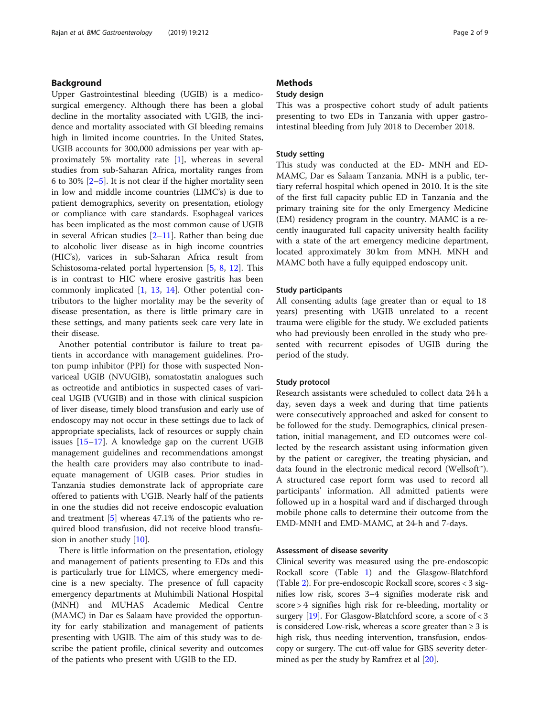#### Background

Upper Gastrointestinal bleeding (UGIB) is a medicosurgical emergency. Although there has been a global decline in the mortality associated with UGIB, the incidence and mortality associated with GI bleeding remains high in limited income countries. In the United States, UGIB accounts for 300,000 admissions per year with approximately 5% mortality rate [\[1](#page-7-0)], whereas in several studies from sub-Saharan Africa, mortality ranges from 6 to 30% [\[2](#page-7-0)–[5](#page-7-0)]. It is not clear if the higher mortality seen in low and middle income countries (LIMC's) is due to patient demographics, severity on presentation, etiology or compliance with care standards. Esophageal varices has been implicated as the most common cause of UGIB in several African studies  $[2-11]$  $[2-11]$  $[2-11]$ . Rather than being due to alcoholic liver disease as in high income countries (HIC's), varices in sub-Saharan Africa result from Schistosoma-related portal hypertension [\[5](#page-7-0), [8](#page-7-0), [12\]](#page-7-0). This is in contrast to HIC where erosive gastritis has been commonly implicated [[1,](#page-7-0) [13](#page-7-0), [14\]](#page-7-0). Other potential contributors to the higher mortality may be the severity of disease presentation, as there is little primary care in these settings, and many patients seek care very late in their disease.

Another potential contributor is failure to treat patients in accordance with management guidelines. Proton pump inhibitor (PPI) for those with suspected Nonvariceal UGIB (NVUGIB), somatostatin analogues such as octreotide and antibiotics in suspected cases of variceal UGIB (VUGIB) and in those with clinical suspicion of liver disease, timely blood transfusion and early use of endoscopy may not occur in these settings due to lack of appropriate specialists, lack of resources or supply chain issues [[15](#page-7-0)–[17](#page-7-0)]. A knowledge gap on the current UGIB management guidelines and recommendations amongst the health care providers may also contribute to inadequate management of UGIB cases. Prior studies in Tanzania studies demonstrate lack of appropriate care offered to patients with UGIB. Nearly half of the patients in one the studies did not receive endoscopic evaluation and treatment [\[5](#page-7-0)] whereas 47.1% of the patients who required blood transfusion, did not receive blood transfusion in another study [[10\]](#page-7-0).

There is little information on the presentation, etiology and management of patients presenting to EDs and this is particularly true for LIMCS, where emergency medicine is a new specialty. The presence of full capacity emergency departments at Muhimbili National Hospital (MNH) and MUHAS Academic Medical Centre (MAMC) in Dar es Salaam have provided the opportunity for early stabilization and management of patients presenting with UGIB. The aim of this study was to describe the patient profile, clinical severity and outcomes of the patients who present with UGIB to the ED.

### **Methods**

#### Study design

This was a prospective cohort study of adult patients presenting to two EDs in Tanzania with upper gastrointestinal bleeding from July 2018 to December 2018.

#### Study setting

This study was conducted at the ED- MNH and ED-MAMC, Dar es Salaam Tanzania. MNH is a public, tertiary referral hospital which opened in 2010. It is the site of the first full capacity public ED in Tanzania and the primary training site for the only Emergency Medicine (EM) residency program in the country. MAMC is a recently inaugurated full capacity university health facility with a state of the art emergency medicine department, located approximately 30 km from MNH. MNH and MAMC both have a fully equipped endoscopy unit.

#### Study participants

All consenting adults (age greater than or equal to 18 years) presenting with UGIB unrelated to a recent trauma were eligible for the study. We excluded patients who had previously been enrolled in the study who presented with recurrent episodes of UGIB during the period of the study.

#### Study protocol

Research assistants were scheduled to collect data 24 h a day, seven days a week and during that time patients were consecutively approached and asked for consent to be followed for the study. Demographics, clinical presentation, initial management, and ED outcomes were collected by the research assistant using information given by the patient or caregiver, the treating physician, and data found in the electronic medical record (Wellsoft™). A structured case report form was used to record all participants' information. All admitted patients were followed up in a hospital ward and if discharged through mobile phone calls to determine their outcome from the EMD-MNH and EMD-MAMC, at 24-h and 7-days.

#### Assessment of disease severity

Clinical severity was measured using the pre-endoscopic Rockall score (Table [1](#page-2-0)) and the Glasgow-Blatchford (Table [2\)](#page-2-0). For pre-endoscopic Rockall score, scores < 3 signifies low risk, scores 3–4 signifies moderate risk and score > 4 signifies high risk for re-bleeding, mortality or surgery [[19](#page-7-0)]. For Glasgow-Blatchford score, a score of < 3 is considered Low-risk, whereas a score greater than  $\geq 3$  is high risk, thus needing intervention, transfusion, endoscopy or surgery. The cut-off value for GBS severity determined as per the study by Ramfrez et al [[20](#page-7-0)].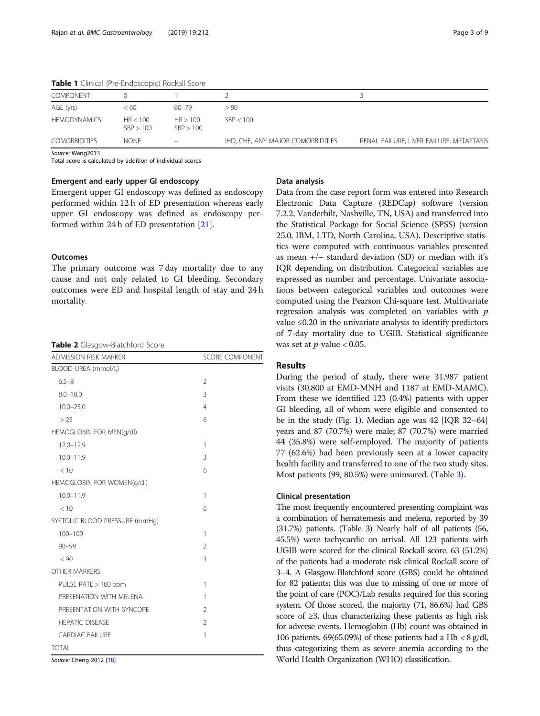| <b>I WIND I</b> CHINCOI (FIC ENGOSCOPIC) NOCKON SCOTC |                       |                          |                                   |                                          |
|-------------------------------------------------------|-----------------------|--------------------------|-----------------------------------|------------------------------------------|
| <b>COMPONENT</b>                                      |                       |                          |                                   |                                          |
| AGE (yrs)                                             | < 60                  | 60–79                    | > 80                              |                                          |
| <b>HEMODYNAMICS</b>                                   | HR < 100<br>SBP > 100 | HR > 100<br>SBP > 100    | SBP < 100                         |                                          |
| <b>COMORBIDITIES</b>                                  | <b>NONF</b>           | $\overline{\phantom{a}}$ | IHD, CHF, ANY MAJOR COMORBIDITIES | RENAL FAILURE, LIVER FAILURE, METASTASIS |

<span id="page-2-0"></span>Table 1 Clinical (Pre-Endoscopic) Rockall Score

Source: Wang2013

Total score is calculated by addition of individual scores

#### Emergent and early upper GI endoscopy

Emergent upper GI endoscopy was defined as endoscopy performed within 12 h of ED presentation whereas early upper GI endoscopy was defined as endoscopy performed within 24 h of ED presentation [\[21](#page-7-0)].

#### **Outcomes**

The primary outcome was 7 day mortality due to any cause and not only related to GI bleeding. Secondary outcomes were ED and hospital length of stay and 24 h mortality.

|  |  | Table 2 Glasgow-Blatchford Score |  |
|--|--|----------------------------------|--|
|--|--|----------------------------------|--|

| <b>ADMISSION RISK MARKER</b>   | <b>SCORE COMPONENT</b> |
|--------------------------------|------------------------|
| BLOOD UREA (mmol/L)            |                        |
| $6.5 - 8$                      | $\overline{2}$         |
| $8.0 - 10.0$                   | 3                      |
| $10.0 - 25.0$                  | $\overline{4}$         |
| > 25                           | 6                      |
| HEMOGLOBIN FOR MEN(g/dl)       |                        |
| $12.0 - 12.9$                  | 1                      |
| $10.0 - 11.9$                  | 3                      |
| < 10                           | 6                      |
| HEMOGLOBIN FOR WOMEN(g/dl)     |                        |
| $10.0 - 11.9$                  | 1                      |
| < 10                           | 6                      |
| SYSTOLIC BLOOD PRESSURE (mmHq) |                        |
| $100 - 109$                    | 1                      |
| $90 - 99$                      | $\mathfrak{D}$         |
| < 90                           | 3                      |
| <b>OTHER MARKERS</b>           |                        |
| PULSE RATE > 100 bpm           | 1                      |
| PRESENATION WITH MEI ENA       | 1                      |
| PRESENTATION WITH SYNCOPE      | $\overline{2}$         |
| <b>HEPATIC DISEASE</b>         | $\overline{2}$         |
| <b>CARDIAC FAILURE</b>         | 1                      |
| <b>TOTAL</b>                   |                        |

Source: Cheng 2012 [[18\]](#page-7-0)

#### Data analysis

Data from the case report form was entered into Research Electronic Data Capture (REDCap) software (version 7.2.2, Vanderbilt, Nashville, TN, USA) and transferred into the Statistical Package for Social Science (SPSS) (version 25.0, IBM, LTD, North Carolina, USA). Descriptive statistics were computed with continuous variables presented as mean +/− standard deviation (SD) or median with it's IQR depending on distribution. Categorical variables are expressed as number and percentage. Univariate associations between categorical variables and outcomes were computed using the Pearson Chi-square test. Multivariate regression analysis was completed on variables with  $p$ value ≤0.20 in the univariate analysis to identify predictors of 7-day mortality due to UGIB. Statistical significance was set at  $p$ -value < 0.05.

#### Results

During the period of study, there were 31,987 patient visits (30,800 at EMD-MNH and 1187 at EMD-MAMC). From these we identified 123 (0.4%) patients with upper GI bleeding, all of whom were eligible and consented to be in the study (Fig. [1\)](#page-3-0). Median age was 42 [IQR 32–64] years and 87 (70.7%) were male; 87 (70.7%) were married 44 (35.8%) were self-employed. The majority of patients 77 (62.6%) had been previously seen at a lower capacity health facility and transferred to one of the two study sites. Most patients (99, 80.5%) were uninsured. (Table [3](#page-4-0)).

#### Clinical presentation

The most frequently encountered presenting complaint was a combination of hematemesis and melena, reported by 39 (31.7%) patients. (Table [3](#page-4-0)) Nearly half of all patients (56, 45.5%) were tachycardic on arrival. All 123 patients with UGIB were scored for the clinical Rockall score. 63 (51.2%) of the patients had a moderate risk clinical Rockall score of 3–4. A Glasgow-Blatchford score (GBS) could be obtained for 82 patients; this was due to missing of one or more of the point of care (POC)/Lab results required for this scoring system. Of those scored, the majority (71, 86.6%) had GBS score of ≥3, thus characterizing these patients as high risk for adverse events. Hemoglobin (Hb) count was obtained in 106 patients. 69(65.09%) of these patients had a Hb < 8 g/dl, thus categorizing them as severe anemia according to the World Health Organization (WHO) classification.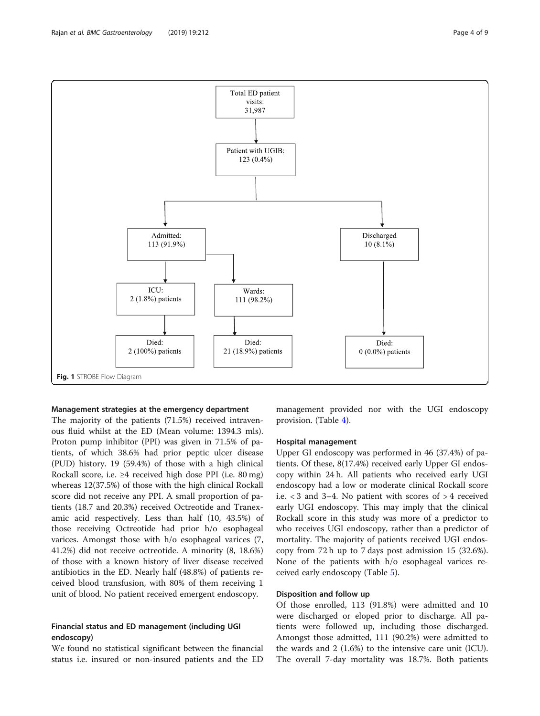<span id="page-3-0"></span>Rajan et al. BMC Gastroenterology (2019) 19:212 **Page 4 of 9** Page 4 of 9



#### Management strategies at the emergency department

The majority of the patients (71.5%) received intravenous fluid whilst at the ED (Mean volume: 1394.3 mls). Proton pump inhibitor (PPI) was given in 71.5% of patients, of which 38.6% had prior peptic ulcer disease (PUD) history. 19 (59.4%) of those with a high clinical Rockall score, i.e. ≥4 received high dose PPI (i.e. 80 mg) whereas 12(37.5%) of those with the high clinical Rockall score did not receive any PPI. A small proportion of patients (18.7 and 20.3%) received Octreotide and Tranexamic acid respectively. Less than half (10, 43.5%) of those receiving Octreotide had prior h/o esophageal varices. Amongst those with h/o esophageal varices (7, 41.2%) did not receive octreotide. A minority (8, 18.6%) of those with a known history of liver disease received antibiotics in the ED. Nearly half (48.8%) of patients received blood transfusion, with 80% of them receiving 1 unit of blood. No patient received emergent endoscopy.

#### Financial status and ED management (including UGI endoscopy)

We found no statistical significant between the financial status i.e. insured or non-insured patients and the ED management provided nor with the UGI endoscopy provision. (Table [4\)](#page-4-0).

#### Hospital management

Upper GI endoscopy was performed in 46 (37.4%) of patients. Of these, 8(17.4%) received early Upper GI endoscopy within 24 h. All patients who received early UGI endoscopy had a low or moderate clinical Rockall score i.e. < 3 and 3–4. No patient with scores of > 4 received early UGI endoscopy. This may imply that the clinical Rockall score in this study was more of a predictor to who receives UGI endoscopy, rather than a predictor of mortality. The majority of patients received UGI endoscopy from 72 h up to 7 days post admission 15 (32.6%). None of the patients with h/o esophageal varices received early endoscopy (Table [5\)](#page-4-0).

#### Disposition and follow up

Of those enrolled, 113 (91.8%) were admitted and 10 were discharged or eloped prior to discharge. All patients were followed up, including those discharged. Amongst those admitted, 111 (90.2%) were admitted to the wards and 2 (1.6%) to the intensive care unit (ICU). The overall 7-day mortality was 18.7%. Both patients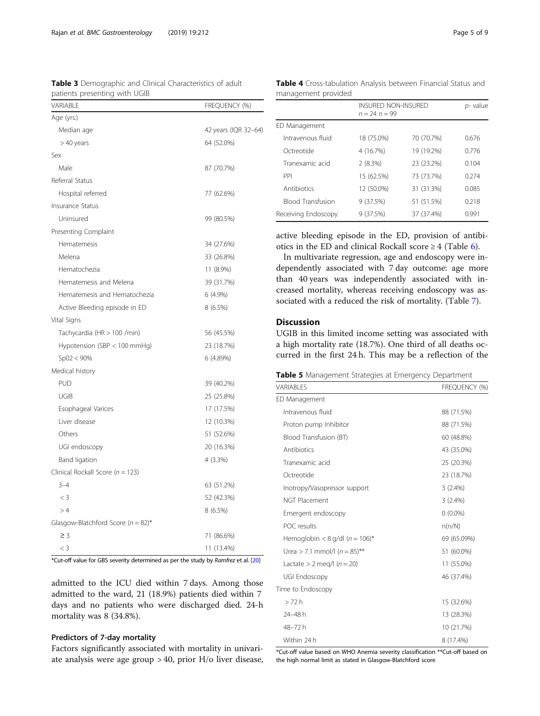<span id="page-4-0"></span>Rajan et al. BMC Gastroenterology (2019) 19:212 **Page 5 of 9** Page 5 of 9

| VARIABLE                               | FREQUENCY (%)        |
|----------------------------------------|----------------------|
| Age (yrs.)                             |                      |
| Median age                             | 42 years (IQR 32-64) |
| $>40$ years                            | 64 (52.0%)           |
| Sex                                    |                      |
| Male                                   | 87 (70.7%)           |
| Referral Status                        |                      |
| Hospital referred                      | 77 (62.6%)           |
| <b>Insurance Status</b>                |                      |
| Uninsured                              | 99 (80.5%)           |
| Presenting Complaint                   |                      |
| Hematemesis                            | 34 (27.6%)           |
| Melena                                 | 33 (26.8%)           |
| Hematochezia                           | 11 (8.9%)            |
| Hematemesis and Melena                 | 39 (31.7%)           |
| Hematemesis and Hematochezia           | 6 (4.9%)             |
| Active Bleeding episode in ED          | 8(6.5%)              |
| Vital Signs                            |                      |
| Tachycardia (HR > 100 /min)            | 56 (45.5%)           |
| Hypotension (SBP < 100 mmHg)           | 23 (18.7%)           |
| $Sp02 < 90\%$                          | 6 (4.89%)            |
| Medical history                        |                      |
| <b>PUD</b>                             | 39 (40.2%)           |
| UGIB                                   | 25 (25.8%)           |
| Esophageal Varices                     | 17 (17.5%)           |
| Liver disease                          | 12 (10.3%)           |
| Others                                 | 51 (52.6%)           |
| UGI endoscopy                          | 20 (16.3%)           |
| <b>Band ligation</b>                   | 4(3.3%)              |
| Clinical Rockall Score ( $n = 123$ )   |                      |
| $3 - 4$                                | 63 (51.2%)           |
| $<$ 3                                  | 52 (42.3%)           |
| >4                                     | 8 (6.5%)             |
| Glasgow-Blatchford Score ( $n = 82$ )* |                      |
| $\geq$ 3                               | 71 (86.6%)           |
| $<$ 3                                  | 11 (13.4%)           |

Table 3 Demographic and Clinical Characteristics of adult patients presenting with UGIB

Table 4 Cross-tabulation Analysis between Financial Status and management provided

| ears                          | 64 (52.0%) |                    |
|-------------------------------|------------|--------------------|
|                               |            | Octreo             |
|                               | 87 (70.7%) | Tranex             |
| tatus                         |            | PPI                |
| al referred                   | 77 (62.6%) | Antibio            |
| <b>Status</b>                 |            | Blood <sup>'</sup> |
| ıred                          | 99 (80.5%) | Receiving          |
| g Complaint                   |            |                    |
| emesis                        | 34 (27.6%) | active 1           |
| E                             | 33 (26.8%) | otics in<br>In m   |
| ochezia                       | 11 (8.9%)  | depend             |
| emesis and Melena             | 39 (31.7%) | than 4             |
| emesis and Hematochezia       | 6 (4.9%)   | creased            |
|                               | $8(6.5\%)$ | sociate            |
| Bleeding episode in ED        |            |                    |
| IS                            |            | <b>Discus</b>      |
| ardia (HR > 100 /min)         | 56 (45.5%) | UGIB i             |
| ension (SBP < 100 mmHq)       | 23 (18.7%) | a high<br>curred   |
| : 90%                         | 6 (4.89%)  |                    |
| history                       |            | Table 5            |
|                               | 39 (40.2%) | VARIABLE           |
|                               | 25 (25.8%) | ED Mana            |
| ageal Varices                 | 17 (17.5%) | Intrave            |
| lisease                       | 12 (10.3%) | Proton             |
|                               | 51 (52.6%) | Blood <sup>-</sup> |
| idoscopy                      | 20 (16.3%) | Antibio            |
| igation                       | $4(3.3\%)$ | Tranex             |
| ockall Score ( $n = 123$ )    |            | Octreo             |
|                               | 63 (51.2%) | Inotrop            |
|                               | 52 (42.3%) | NGT PI             |
|                               | 8 (6.5%)   | Emerg              |
| Blatchford Score $(n = 82)^*$ |            | POC re             |
|                               |            |                    |

\*Cut-off value for GBS severity determined as per the study by Ramfrez et al. [[20\]](#page-7-0)

admitted to the ICU died within 7 days. Among those admitted to the ward, 21 (18.9%) patients died within 7 days and no patients who were discharged died. 24-h mortality was 8 (34.8%).

#### Predictors of 7-day mortality

Factors significantly associated with mortality in univariate analysis were age group > 40, prior H/o liver disease,

|                          | $n = 24$ $n = 99$ | <b>INSURED NON-INSURED</b> |       |
|--------------------------|-------------------|----------------------------|-------|
| ED Management            |                   |                            |       |
| Intravenous fluid        | 18 (75.0%)        | 70 (70.7%)                 | 0.676 |
| Octreotide               | 4 (16.7%)         | 19 (19.2%)                 | 0.776 |
| Tranexamic acid          | 2(8.3%)           | 23 (23.2%)                 | 0.104 |
| PPI                      | 15 (62.5%)        | 73 (73.7%)                 | 0.274 |
| Antibiotics              | 12 (50.0%)        | 31 (31.3%)                 | 0.085 |
| <b>Blood Transfusion</b> | 9(37.5%)          | 51 (51.5%)                 | 0.218 |
| Receiving Endoscopy      | 9(37.5%)          | 37 (37.4%)                 | 0.991 |

bleeding episode in the ED, provision of antibithe ED and clinical Rockall score  $\geq 4$  (Table [6](#page-5-0)).

ultivariate regression, age and endoscopy were indently associated with 7 day outcome: age more 40 years was independently associated with inmortality, whereas receiving endoscopy was as-d with a reduced the risk of mortality. (Table [7](#page-5-0)).

#### ision

in this limited income setting was associated with mortality rate (18.7%). One third of all deaths ocin the first 24 h. This may be a reflection of the

| Table 5 Management Strategies at Emergency Department |  |  |
|-------------------------------------------------------|--|--|
|                                                       |  |  |

| VARIABLES                         | <b>FREQUENCY (%)</b> |
|-----------------------------------|----------------------|
| ED Management                     |                      |
| Intravenous fluid                 | 88 (71.5%)           |
| Proton pump Inhibitor             | 88 (71.5%)           |
| Blood Transfusion (BT)            | 60 (48.8%)           |
| Antibiotics                       | 43 (35.0%)           |
| Tranexamic acid                   | 25 (20.3%)           |
| Octreotide                        | 23 (18.7%)           |
| Inotropy/Vasopressor support      | 3(2.4%)              |
| <b>NGT Placement</b>              | 3(2.4%)              |
| Emergent endoscopy                | $0(0.0\%)$           |
| POC results                       | n(n/N)               |
| Hemoglobin < 8 g/dl $(n = 106)^*$ | 69 (65.09%)          |
| Urea > 7.1 mmol/l $(n = 85)$ **   | 51 (60.0%)           |
| Lactate $> 2$ meg/l ( $n = 20$ )  | 11 (55.0%)           |
| UGI Endoscopy                     | 46 (37.4%)           |
| Time to Endoscopy                 |                      |
| >72h                              | 15 (32.6%)           |
| 24-48 h                           | 13 (28.3%)           |
| 48-72h                            | 10 (21.7%)           |
| Within 24 h                       | 8 (17.4%)            |

\*Cut-off value based on WHO Anemia severity classification \*\*Cut-off based on the high normal limit as stated in Glasgow-Blatchford score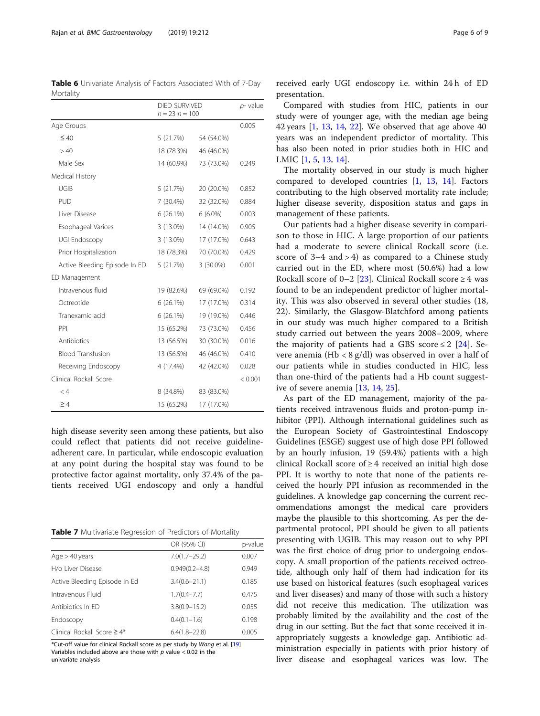<span id="page-5-0"></span>Table 6 Univariate Analysis of Factors Associated With of 7-Day Mortality

|                               | <b>DIED SURVIVED</b><br>$n = 23$ $n = 100$ |            | p-value |  |
|-------------------------------|--------------------------------------------|------------|---------|--|
| Age Groups                    |                                            |            | 0.005   |  |
| $\leq 40$                     | 5(21.7%)                                   | 54 (54.0%) |         |  |
| >40                           | 18 (78.3%)                                 | 46 (46.0%) |         |  |
| Male Sex                      | 14 (60.9%)                                 | 73 (73.0%) | 0.249   |  |
| Medical History               |                                            |            |         |  |
| UGIB                          | 5 (21.7%)                                  | 20 (20.0%) | 0.852   |  |
| <b>PUD</b>                    | 7 (30.4%)                                  | 32 (32.0%) | 0.884   |  |
| Liver Disease                 | $6(26.1\%)$                                | $6(6.0\%)$ | 0.003   |  |
| Esophageal Varices            | $3(13.0\%)$                                | 14 (14.0%) | 0.905   |  |
| UGI Endoscopy                 | 3 (13.0%)                                  | 17 (17.0%) | 0.643   |  |
| Prior Hospitalization         | 18 (78.3%)                                 | 70 (70.0%) | 0.429   |  |
| Active Bleeding Episode In ED | 5 (21.7%)                                  | 3 (30.0%)  | 0.001   |  |
| ED Management                 |                                            |            |         |  |
| Intravenous fluid             | 19 (82.6%)                                 | 69 (69.0%) | 0.192   |  |
| Octreotide                    | $6(26.1\%)$                                | 17 (17.0%) | 0.314   |  |
| Tranexamic acid               | 6 (26.1%)                                  | 19 (19.0%) | 0.446   |  |
| PPI                           | 15 (65.2%)                                 | 73 (73.0%) | 0.456   |  |
| Antibiotics                   | 13 (56.5%)                                 | 30 (30.0%) | 0.016   |  |
| <b>Blood Transfusion</b>      | 13 (56.5%)                                 | 46 (46.0%) | 0.410   |  |
| Receiving Endoscopy           | 4 (17.4%)                                  | 42 (42.0%) | 0.028   |  |
| Clinical Rockall Score        |                                            |            | < 0.001 |  |
| $\lt 4$                       | 8 (34.8%)                                  | 83 (83.0%) |         |  |
| $\geq 4$                      | 15 (65.2%)                                 | 17 (17.0%) |         |  |

high disease severity seen among these patients, but also could reflect that patients did not receive guidelineadherent care. In particular, while endoscopic evaluation at any point during the hospital stay was found to be protective factor against mortality, only 37.4% of the patients received UGI endoscopy and only a handful

Table 7 Multivariate Regression of Predictors of Mortality

|                                   | OR (95% CI)        | p-value |
|-----------------------------------|--------------------|---------|
| Age > 40 years                    | $7.0(1.7 - 29.2)$  | 0.007   |
| H/o Liver Disease                 | $0.949(0.2 - 4.8)$ | 0.949   |
| Active Bleeding Episode in Ed     | $3.4(0.6 - 21.1)$  | 0.185   |
| Intravenous Fluid                 | $1.7(0.4 - 7.7)$   | 0.475   |
| Antibiotics In FD                 | $3.8(0.9 - 15.2)$  | 0.055   |
| Endoscopy                         | $0.4(0.1 - 1.6)$   | 0.198   |
| Clinical Rockall Score $\geq 4^*$ | $6.4(1.8 - 22.8)$  | 0.005   |

\*Cut-off value for clinical Rockall score as per study by Wang et al. [[19\]](#page-7-0) Variables included above are those with  $p$  value  $< 0.02$  in the univariate analysis

received early UGI endoscopy i.e. within 24 h of ED presentation.

Compared with studies from HIC, patients in our study were of younger age, with the median age being 42 years [[1,](#page-7-0) [13,](#page-7-0) [14](#page-7-0), [22\]](#page-7-0). We observed that age above 40 years was an independent predictor of mortality. This has also been noted in prior studies both in HIC and LMIC [\[1](#page-7-0), [5](#page-7-0), [13](#page-7-0), [14](#page-7-0)].

The mortality observed in our study is much higher compared to developed countries [\[1,](#page-7-0) [13](#page-7-0), [14\]](#page-7-0). Factors contributing to the high observed mortality rate include; higher disease severity, disposition status and gaps in management of these patients.

Our patients had a higher disease severity in comparison to those in HIC. A large proportion of our patients had a moderate to severe clinical Rockall score (i.e. score of  $3-4$  and  $> 4$ ) as compared to a Chinese study carried out in the ED, where most (50.6%) had a low Rockall score of 0–2 [[23\]](#page-7-0). Clinical Rockall score  $\geq 4$  was found to be an independent predictor of higher mortality. This was also observed in several other studies (18, 22). Similarly, the Glasgow-Blatchford among patients in our study was much higher compared to a British study carried out between the years 2008–2009, where the majority of patients had a GBS score  $\leq 2$  [[24\]](#page-8-0). Severe anemia (Hb < 8 g/dl) was observed in over a half of our patients while in studies conducted in HIC, less than one-third of the patients had a Hb count suggestive of severe anemia [\[13](#page-7-0), [14](#page-7-0), [25\]](#page-8-0).

As part of the ED management, majority of the patients received intravenous fluids and proton-pump inhibitor (PPI). Although international guidelines such as the European Society of Gastrointestinal Endoscopy Guidelines (ESGE) suggest use of high dose PPI followed by an hourly infusion, 19 (59.4%) patients with a high clinical Rockall score of ≥ 4 received an initial high dose PPI. It is worthy to note that none of the patients received the hourly PPI infusion as recommended in the guidelines. A knowledge gap concerning the current recommendations amongst the medical care providers maybe the plausible to this shortcoming. As per the departmental protocol, PPI should be given to all patients presenting with UGIB. This may reason out to why PPI was the first choice of drug prior to undergoing endoscopy. A small proportion of the patients received octreotide, although only half of them had indication for its use based on historical features (such esophageal varices and liver diseases) and many of those with such a history did not receive this medication. The utilization was probably limited by the availability and the cost of the drug in our setting. But the fact that some received it inappropriately suggests a knowledge gap. Antibiotic administration especially in patients with prior history of liver disease and esophageal varices was low. The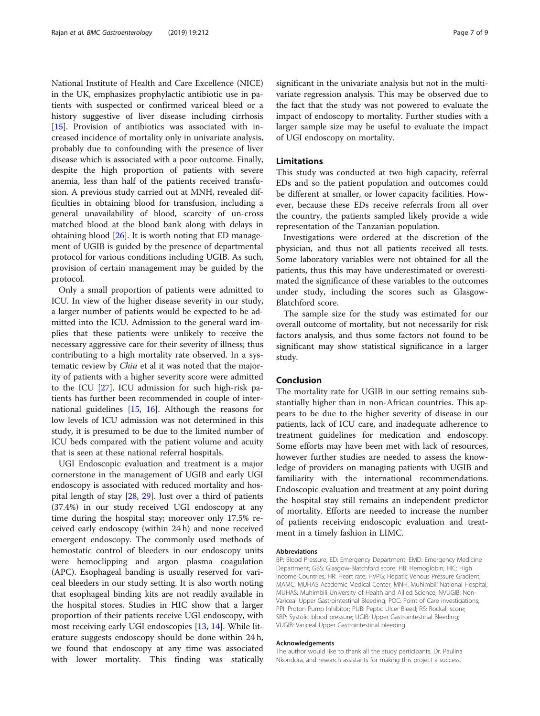National Institute of Health and Care Excellence (NICE) in the UK, emphasizes prophylactic antibiotic use in patients with suspected or confirmed variceal bleed or a history suggestive of liver disease including cirrhosis [[15\]](#page-7-0). Provision of antibiotics was associated with increased incidence of mortality only in univariate analysis, probably due to confounding with the presence of liver disease which is associated with a poor outcome. Finally, despite the high proportion of patients with severe anemia, less than half of the patients received transfusion. A previous study carried out at MNH, revealed difficulties in obtaining blood for transfusion, including a general unavailability of blood, scarcity of un-cross matched blood at the blood bank along with delays in obtaining blood [\[26](#page-8-0)]. It is worth noting that ED management of UGIB is guided by the presence of departmental protocol for various conditions including UGIB. As such, provision of certain management may be guided by the protocol.

Only a small proportion of patients were admitted to ICU. In view of the higher disease severity in our study, a larger number of patients would be expected to be admitted into the ICU. Admission to the general ward implies that these patients were unlikely to receive the necessary aggressive care for their severity of illness; thus contributing to a high mortality rate observed. In a systematic review by *Chiu* et al it was noted that the majority of patients with a higher severity score were admitted to the ICU [\[27\]](#page-8-0). ICU admission for such high-risk patients has further been recommended in couple of international guidelines [\[15,](#page-7-0) [16](#page-7-0)]. Although the reasons for low levels of ICU admission was not determined in this study, it is presumed to be due to the limited number of ICU beds compared with the patient volume and acuity that is seen at these national referral hospitals.

UGI Endoscopic evaluation and treatment is a major cornerstone in the management of UGIB and early UGI endoscopy is associated with reduced mortality and hospital length of stay [\[28](#page-8-0), [29\]](#page-8-0). Just over a third of patients (37.4%) in our study received UGI endoscopy at any time during the hospital stay; moreover only 17.5% received early endoscopy (within 24 h) and none received emergent endoscopy. The commonly used methods of hemostatic control of bleeders in our endoscopy units were hemoclipping and argon plasma coagulation (APC). Esophageal banding is usually reserved for variceal bleeders in our study setting. It is also worth noting that esophageal binding kits are not readily available in the hospital stores. Studies in HIC show that a larger proportion of their patients receive UGI endoscopy, with most receiving early UGI endoscopies [[13,](#page-7-0) [14\]](#page-7-0). While literature suggests endoscopy should be done within 24 h, we found that endoscopy at any time was associated with lower mortality. This finding was statically significant in the univariate analysis but not in the multivariate regression analysis. This may be observed due to the fact that the study was not powered to evaluate the impact of endoscopy to mortality. Further studies with a larger sample size may be useful to evaluate the impact of UGI endoscopy on mortality.

#### Limitations

This study was conducted at two high capacity, referral EDs and so the patient population and outcomes could be different at smaller, or lower capacity facilities. However, because these EDs receive referrals from all over the country, the patients sampled likely provide a wide representation of the Tanzanian population.

Investigations were ordered at the discretion of the physician, and thus not all patients received all tests. Some laboratory variables were not obtained for all the patients, thus this may have underestimated or overestimated the significance of these variables to the outcomes under study, including the scores such as Glasgow-Blatchford score.

The sample size for the study was estimated for our overall outcome of mortality, but not necessarily for risk factors analysis, and thus some factors not found to be significant may show statistical significance in a larger study.

#### Conclusion

The mortality rate for UGIB in our setting remains substantially higher than in non-African countries. This appears to be due to the higher severity of disease in our patients, lack of ICU care, and inadequate adherence to treatment guidelines for medication and endoscopy. Some efforts may have been met with lack of resources, however further studies are needed to assess the knowledge of providers on managing patients with UGIB and familiarity with the international recommendations. Endoscopic evaluation and treatment at any point during the hospital stay still remains an independent predictor of mortality. Efforts are needed to increase the number of patients receiving endoscopic evaluation and treatment in a timely fashion in LIMC.

#### Abbreviations

BP: Blood Pressure; ED: Emergency Department; EMD: Emergency Medicine Department; GBS: Glasgow-Blatchford score; HB: Hemoglobin; HIC: High Income Countries; HR: Heart rate; HVPG: Hepatic Venous Pressure Gradient; MAMC: MUHAS Academic Medical Center; MNH: Muhimbili National Hospital; MUHAS: Muhimbili University of Health and Allied Science; NVUGIB: Non-Variceal Upper Gastrointestinal Bleeding; POC: Point of Care investigations; PPI: Proton Pump Inhibitor; PUB: Peptic Ulcer Bleed; RS: Rockall score; SBP: Systolic blood pressure; UGIB: Upper Gastrointestinal Bleeding; VUGIB: Variceal Upper Gastrointestinal bleeding

#### Acknowledgements

The author would like to thank all the study participants, Dr. Paulina Nkondora, and research assistants for making this project a success.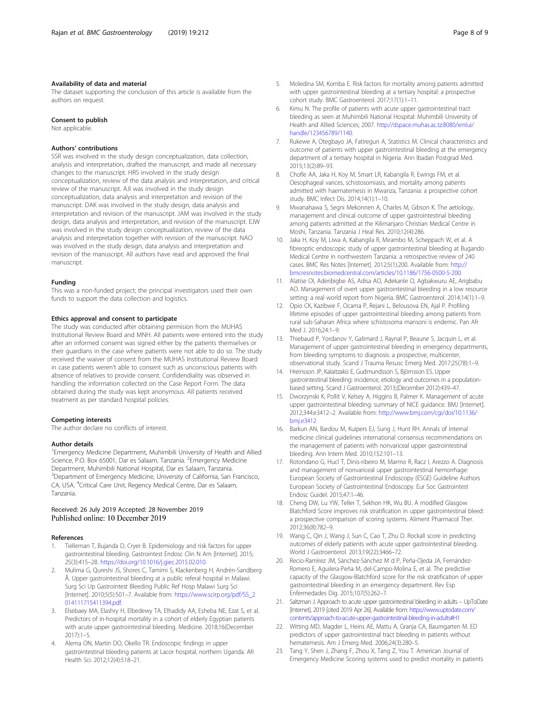#### <span id="page-7-0"></span>Availability of data and material

The dataset supporting the conclusion of this article is available from the authors on request.

#### Consent to publish

Not applicable.

#### Authors' contributions

SSR was involved in the study design conceptualization, data collection, analysis and interpretation, drafted the manuscript, and made all necessary changes to the manuscript. HRS involved in the study design conceptualization, review of the data analysis and interpretation, and critical review of the manuscript. AJI was involved in the study design conceptualization, data analysis and interpretation and revision of the manuscript. DAK was involved in the study design, data analysis and interpretation and revision of the manuscript. JAM was involved in the study design, data analysis and interpretation, and revision of the manuscript. EJW was involved in the study design conceptualization, review of the data analysis and interpretation together with revision of the manuscript. NAO was involved in the study design, data analysis and interpretation and revision of the manuscript. All authors have read and approved the final manuscript.

#### Funding

This was a non-funded project; the principal investigators used their own funds to support the data collection and logistics.

#### Ethics approval and consent to participate

The study was conducted after obtaining permision from the MUHAS Institutional Review Board and MNH. All patients were entered into the study after an informed consent was signed either by the patients themselves or their guardians in the case where patients were not able to do so. The study received the waiver of consent from the MUHAS Institutional Review Board in case patients weren't able to consent such as unconscious patients with absence of relatives to provide consent. Confidendiality was observed in handling the information collected on the Case Report Form. The data obtained during the study was kept anonymous. All patients received treatment as per standard hospital policies.

#### Competing interests

The author declare no conflicts of interest.

#### Author details

<sup>1</sup> Emergency Medicine Department, Muhimbili University of Health and Allied Science, P.O. Box 65001, Dar es Salaam, Tanzania. <sup>2</sup>Emergency Medicine Department, Muhimbili National Hospital, Dar es Salaam, Tanzania. <sup>3</sup>Department of Emergency Medicine, University of California, San Francisco, CA, USA. <sup>4</sup>Critical Care Unit, Regency Medical Centre, Dar es Salaam, Tanzania.

## Received: 26 July 2019 Accepted: 28 November 2019

#### References

- 1. Tielleman T, Bujanda D, Cryer B. Epidemiology and risk factors for upper gastrointestinal bleeding. Gastrointest Endosc Clin N Am [Internet]. 2015; 25(3):415–28. [https://doi.org/10.1016/j.giec.2015.02.010.](https://doi.org/10.1016/j.giec.2015.02.010)
- 2. Mulima G, Qureshi JS, Shores C, Tamimi S, Klackenberg H, Andrén-Sandberg Å. Upper gastrointestinal bleeding at a public referal hospital in Malawi. Surg Sci Up Gastrointest Bleeding Public Ref Hosp Malawi Surg Sci [Internet]. 2010;5(5):501–7. Available from: [https://www.scirp.org/pdf/SS\\_2](https://www.scirp.org/pdf/SS_2014111715411394.pdf) [014111715411394.pdf.](https://www.scirp.org/pdf/SS_2014111715411394.pdf)
- 3. Elsebaey MA, Elashry H, Elbedewy TA, Elhadidy AA, Esheba NE, Ezat S, et al. Predictors of in-hospital mortality in a cohort of elderly Egyptian patients with acute upper gastrointestinal bleeding. Medicine. 2018;16(December 2017):1–5.
- 4. Alema ON, Martin DO, Okello TR. Endoscopic findings in upper gastrointestinal bleeding patients at Lacor hospital, northern Uganda. Afr Health Sci. 2012;12(4):518–21.
- 5. Moledina SM, Komba E. Risk factors for mortality among patients admitted with upper gastrointestinal bleeding at a tertiary hospital: a prospective cohort study. BMC Gastroenterol. 2017;17(1):1–11.
- Kimu N. The profile of patients with acute upper gastrointestinal tract bleeding as seen at Muhimbili National Hospital: Muhimbili University of Health and Allied Sciences; 2007. [http://dspace.muhas.ac.tz:8080/xmlui/](http://dspace.muhas.ac.tz:8080/xmlui/handle/123456789/1140) [handle/123456789/1140.](http://dspace.muhas.ac.tz:8080/xmlui/handle/123456789/1140)
- 7. Rukewe A, Otegbayo JA, Fatiregun A, Statistics M. Clinical characteristics and outcome of patients with upper gastrointestinal bleeding at the emergency department of a tertiary hospital in Nigeria. Ann Ibadan Postgrad Med. 2015;13(2):89–93.
- 8. Chofle AA, Jaka H, Koy M, Smart LR, Kabangila R, Ewings FM, et al. Oesophageal varices, schistosomiasis, and mortality among patients admitted with haematemesis in Mwanza, Tanzania: a prospective cohort study. BMC Infect Dis. 2014;14(1):1–10.
- 9. Mwanahawa S, Segni Mekonnen A, Charles M, Gibson K. The aetiology, management and clinical outcome of upper gastrointestinal bleeding among patients admitted at the Kilimanjaro Christian Medical Centre in Moshi, Tanzania. Tanzania J Heal Res. 2010;12(4):286.
- 10. Jaka H, Koy M, Liwa A, Kabangila R, Mirambo M, Scheppach W, et al. A fibreoptic endoscopic study of upper gastrointestinal bleeding at Bugando Medical Centre in northwestern Tanzania: a retrospective review of 240 cases. BMC Res Notes [Internet]. 2012;5(1):200. Available from: [http://](http://bmcresnotes.biomedcentral.com/articles/10.1186/1756-0500-5-200) [bmcresnotes.biomedcentral.com/articles/10.1186/1756-0500-5-200](http://bmcresnotes.biomedcentral.com/articles/10.1186/1756-0500-5-200)
- 11. Alatise OI, Aderibigbe AS, Adisa AO, Adekanle O, Agbakwuru AE, Arigbabu AO. Management of overt upper gastrointestinal bleeding in a low resource setting: a real world report from Nigeria. BMC Gastroenterol. 2014;14(1):1–9.
- 12. Opio CK, Kazibwe F, Ocama P, Rejani L, Belousova EN, Ajal P. Profiling lifetime episodes of upper gastrointestinal bleeding among patients from rural sub-Saharan Africa where schistosoma mansoni is endemic. Pan Afr Med | 2016;24:1–9.
- 13. Thiebaud P, Yordanov Y, Galimard J, Raynal P, Beaune S, Jacquin L, et al. Management of upper gastrointestinal bleeding in emergency departments, from bleeding symptoms to diagnosis: a prospective, multicenter, observational study. Scand J Trauma Resusc Emerg Med. 2017;25(78):1–9.
- 14. Hreinsson JP, Kalaitzakis E, Gudmundsson S, Björnsson ES. Upper gastrointestinal bleeding: incidence, etiology and outcomes in a populationbased setting. Scand J Gastroenterol. 2013;(December 2012):439–47.
- 15. Dworzynski K, Pollit V, Kelsey A, Higgins B, Palmer K. Management of acute upper gastrointestinal bleeding: summary of NICE guidance. BMJ [Internet]. 2012;344:e3412–2. Available from: [http://www.bmj.com/cgi/doi/10.1136/](http://www.bmj.com/cgi/doi/10.1136/bmj.e3412) [bmj.e3412](http://www.bmj.com/cgi/doi/10.1136/bmj.e3412)
- 16. Barkun AN, Bardou M, Kuipers EJ, Sung J, Hunt RH. Annals of internal medicine clinical guidelines international consensus recommendations on the management of patients with nonvariceal upper gastrointestinal bleeding. Ann Intern Med. 2010;152:101–13.
- 17. Rotondano G, Hucl T, Dinis-ribeiro M, Marmo R, Racz I, Arezzo A. Diagnosis and management of nonvariceal upper gastrointestinal hemorrhage: European Society of Gastrointestinal Endoscopy (ESGE) Guideline Authors European Society of Gastrointestinal Endoscopy. Eur Soc Gastrointest Endosc Guidel. 2015;47:1–46.
- 18. Cheng DW, Lu YW, Teller T, Sekhon HK, Wu BU. A modified Glasgow Blatchford Score improves risk stratification in upper gastrointestinal bleed: a prospective comparison of scoring systems. Aliment Pharmacol Ther. 2012;36(8):782–9.
- 19. Wang C, Qin J, Wang J, Sun C, Cao T, Zhu D. Rockall score in predicting outcomes of elderly patients with acute upper gastrointestinal bleeding. World J Gastroenterol. 2013;19(22):3466–72.
- 20. Recio-Ramírez JM, Sánchez-Sánchez M d P, Peña-Ojeda JA, Fernández-Romero E, Aguilera-Peña M, del-Campo-Molina E, et al. The predictive capacity of the Glasgow-Blatchford score for the risk stratification of upper gastrointestinal bleeding in an emergency department. Rev Esp Enfermedades Dig. 2015;107(5):262–7.
- 21. Saltzman J. Approach to acute upper gastrointestinal bleeding in adults UpToDate [Internet]. 2019 [cited 2019 Apr 26]. Available from: [https://www.uptodate.com/](https://www.uptodate.com/contents/approach-to-acute-upper-gastrointestinal-bleeding-in-adults#H1) [contents/approach-to-acute-upper-gastrointestinal-bleeding-in-adults#H1](https://www.uptodate.com/contents/approach-to-acute-upper-gastrointestinal-bleeding-in-adults#H1)
- 22. Witting MD, Magder L, Heins AE, Mattu A, Granja CA, Baumgarten M. ED predictors of upper gastrointestinal tract bleeding in patients without hematemesis. Am J Emerg Med. 2006;24(3):280–5.
- 23. Tang Y, Shen J, Zhang F, Zhou X, Tang Z, You T. American Journal of Emergency Medicine Scoring systems used to predict mortality in patients